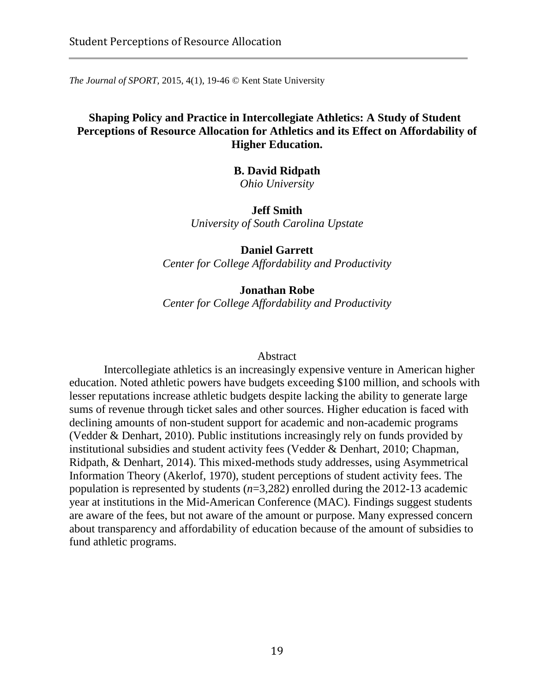*The Journal of SPORT,* 2015, 4(1), 19-46 *©* Kent State University

# **Shaping Policy and Practice in Intercollegiate Athletics: A Study of Student Perceptions of Resource Allocation for Athletics and its Effect on Affordability of Higher Education.**

#### **B. David Ridpath**

*Ohio University*

#### **Jeff Smith**

*University of South Carolina Upstate*

#### **Daniel Garrett**

*Center for College Affordability and Productivity*

#### **Jonathan Robe**

*Center for College Affordability and Productivity*

#### Abstract

Intercollegiate athletics is an increasingly expensive venture in American higher education. Noted athletic powers have budgets exceeding \$100 million, and schools with lesser reputations increase athletic budgets despite lacking the ability to generate large sums of revenue through ticket sales and other sources. Higher education is faced with declining amounts of non-student support for academic and non-academic programs (Vedder & Denhart, 2010). Public institutions increasingly rely on funds provided by institutional subsidies and student activity fees (Vedder & Denhart, 2010; Chapman, Ridpath, & Denhart, 2014). This mixed-methods study addresses, using Asymmetrical Information Theory (Akerlof, 1970), student perceptions of student activity fees. The population is represented by students (*n*=3,282) enrolled during the 2012-13 academic year at institutions in the Mid-American Conference (MAC). Findings suggest students are aware of the fees, but not aware of the amount or purpose. Many expressed concern about transparency and affordability of education because of the amount of subsidies to fund athletic programs.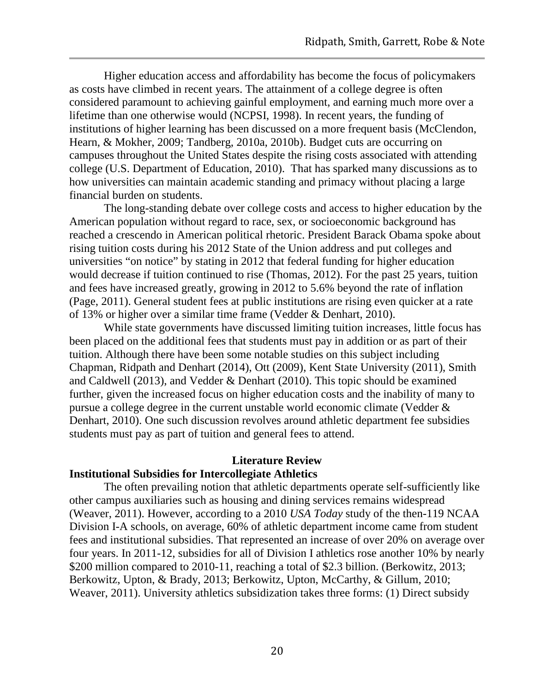Higher education access and affordability has become the focus of policymakers as costs have climbed in recent years. The attainment of a college degree is often considered paramount to achieving gainful employment, and earning much more over a lifetime than one otherwise would (NCPSI, 1998). In recent years, the funding of institutions of higher learning has been discussed on a more frequent basis (McClendon, Hearn, & Mokher, 2009; Tandberg, 2010a, 2010b). Budget cuts are occurring on campuses throughout the United States despite the rising costs associated with attending college (U.S. Department of Education, 2010). That has sparked many discussions as to how universities can maintain academic standing and primacy without placing a large financial burden on students.

The long-standing debate over college costs and access to higher education by the American population without regard to race, sex, or socioeconomic background has reached a crescendo in American political rhetoric. President Barack Obama spoke about rising tuition costs during his 2012 State of the Union address and put colleges and universities "on notice" by stating in 2012 that federal funding for higher education would decrease if tuition continued to rise (Thomas, 2012). For the past 25 years, tuition and fees have increased greatly, growing in 2012 to 5.6% beyond the rate of inflation (Page, 2011). General student fees at public institutions are rising even quicker at a rate of 13% or higher over a similar time frame (Vedder & Denhart, 2010).

While state governments have discussed limiting tuition increases, little focus has been placed on the additional fees that students must pay in addition or as part of their tuition. Although there have been some notable studies on this subject including Chapman, Ridpath and Denhart (2014), Ott (2009), Kent State University (2011), Smith and Caldwell (2013), and Vedder & Denhart (2010). This topic should be examined further, given the increased focus on higher education costs and the inability of many to pursue a college degree in the current unstable world economic climate (Vedder & Denhart, 2010). One such discussion revolves around athletic department fee subsidies students must pay as part of tuition and general fees to attend.

#### **Literature Review**

#### **Institutional Subsidies for Intercollegiate Athletics**

The often prevailing notion that athletic departments operate self-sufficiently like other campus auxiliaries such as housing and dining services remains widespread (Weaver, 2011). However, according to a 2010 *USA Today* study of the then-119 NCAA Division I-A schools, on average, 60% of athletic department income came from student fees and institutional subsidies. That represented an increase of over 20% on average over four years. In 2011-12, subsidies for all of Division I athletics rose another 10% by nearly \$200 million compared to 2010-11, reaching a total of \$2.3 billion. (Berkowitz, 2013; Berkowitz, Upton, & Brady, 2013; Berkowitz, Upton, McCarthy, & Gillum, 2010; Weaver, 2011). University athletics subsidization takes three forms: (1) Direct subsidy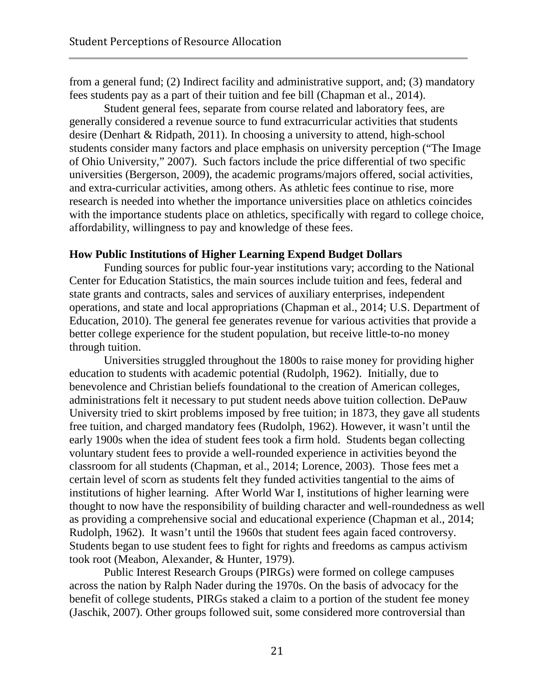from a general fund; (2) Indirect facility and administrative support, and; (3) mandatory fees students pay as a part of their tuition and fee bill (Chapman et al., 2014).

Student general fees, separate from course related and laboratory fees, are generally considered a revenue source to fund extracurricular activities that students desire (Denhart & Ridpath, 2011). In choosing a university to attend, high-school students consider many factors and place emphasis on university perception ("The Image of Ohio University," 2007). Such factors include the price differential of two specific universities (Bergerson, 2009), the academic programs/majors offered, social activities, and extra-curricular activities, among others. As athletic fees continue to rise, more research is needed into whether the importance universities place on athletics coincides with the importance students place on athletics, specifically with regard to college choice, affordability, willingness to pay and knowledge of these fees.

## **How Public Institutions of Higher Learning Expend Budget Dollars**

Funding sources for public four-year institutions vary; according to the National Center for Education Statistics, the main sources include tuition and fees, federal and state grants and contracts, sales and services of auxiliary enterprises, independent operations, and state and local appropriations (Chapman et al., 2014; U.S. Department of Education, 2010). The general fee generates revenue for various activities that provide a better college experience for the student population, but receive little-to-no money through tuition.

Universities struggled throughout the 1800s to raise money for providing higher education to students with academic potential (Rudolph, 1962). Initially, due to benevolence and Christian beliefs foundational to the creation of American colleges, administrations felt it necessary to put student needs above tuition collection. DePauw University tried to skirt problems imposed by free tuition; in 1873, they gave all students free tuition, and charged mandatory fees (Rudolph, 1962). However, it wasn't until the early 1900s when the idea of student fees took a firm hold. Students began collecting voluntary student fees to provide a well-rounded experience in activities beyond the classroom for all students (Chapman, et al., 2014; Lorence, 2003). Those fees met a certain level of scorn as students felt they funded activities tangential to the aims of institutions of higher learning. After World War I, institutions of higher learning were thought to now have the responsibility of building character and well-roundedness as well as providing a comprehensive social and educational experience (Chapman et al., 2014; Rudolph, 1962). It wasn't until the 1960s that student fees again faced controversy. Students began to use student fees to fight for rights and freedoms as campus activism took root (Meabon, Alexander, & Hunter, 1979).

Public Interest Research Groups (PIRGs) were formed on college campuses across the nation by Ralph Nader during the 1970s. On the basis of advocacy for the benefit of college students, PIRGs staked a claim to a portion of the student fee money (Jaschik, 2007). Other groups followed suit, some considered more controversial than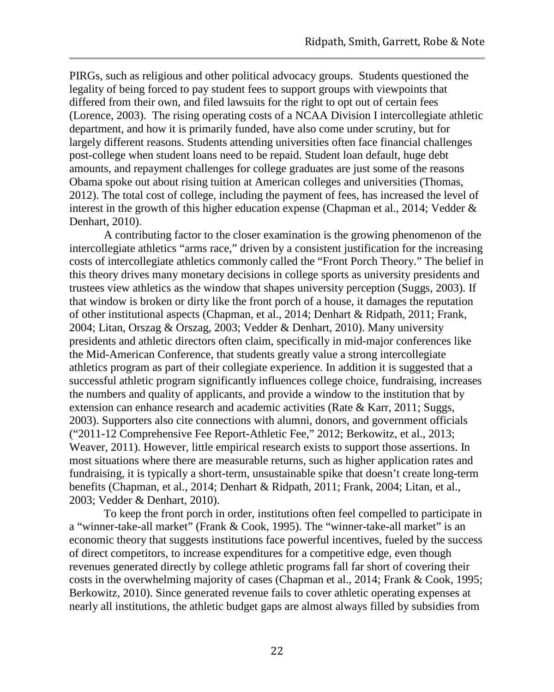PIRGs, such as religious and other political advocacy groups. Students questioned the legality of being forced to pay student fees to support groups with viewpoints that differed from their own, and filed lawsuits for the right to opt out of certain fees (Lorence, 2003). The rising operating costs of a NCAA Division I intercollegiate athletic department, and how it is primarily funded, have also come under scrutiny, but for largely different reasons. Students attending universities often face financial challenges post-college when student loans need to be repaid. Student loan default, huge debt amounts, and repayment challenges for college graduates are just some of the reasons Obama spoke out about rising tuition at American colleges and universities (Thomas, 2012). The total cost of college, including the payment of fees, has increased the level of interest in the growth of this higher education expense (Chapman et al., 2014; Vedder & Denhart, 2010).

A contributing factor to the closer examination is the growing phenomenon of the intercollegiate athletics "arms race," driven by a consistent justification for the increasing costs of intercollegiate athletics commonly called the "Front Porch Theory." The belief in this theory drives many monetary decisions in college sports as university presidents and trustees view athletics as the window that shapes university perception (Suggs, 2003). If that window is broken or dirty like the front porch of a house, it damages the reputation of other institutional aspects (Chapman, et al., 2014; Denhart & Ridpath, 2011; Frank, 2004; Litan, Orszag & Orszag, 2003; Vedder & Denhart, 2010). Many university presidents and athletic directors often claim, specifically in mid-major conferences like the Mid-American Conference, that students greatly value a strong intercollegiate athletics program as part of their collegiate experience. In addition it is suggested that a successful athletic program significantly influences college choice, fundraising, increases the numbers and quality of applicants, and provide a window to the institution that by extension can enhance research and academic activities (Rate & Karr, 2011; Suggs, 2003). Supporters also cite connections with alumni, donors, and government officials ("2011-12 Comprehensive Fee Report-Athletic Fee," 2012; Berkowitz, et al., 2013; Weaver, 2011). However, little empirical research exists to support those assertions. In most situations where there are measurable returns, such as higher application rates and fundraising, it is typically a short-term, unsustainable spike that doesn't create long-term benefits (Chapman, et al., 2014; Denhart & Ridpath, 2011; Frank, 2004; Litan, et al., 2003; Vedder & Denhart, 2010).

To keep the front porch in order, institutions often feel compelled to participate in a "winner-take-all market" (Frank & Cook, 1995). The "winner-take-all market" is an economic theory that suggests institutions face powerful incentives, fueled by the success of direct competitors, to increase expenditures for a competitive edge, even though revenues generated directly by college athletic programs fall far short of covering their costs in the overwhelming majority of cases (Chapman et al., 2014; Frank & Cook, 1995; Berkowitz, 2010). Since generated revenue fails to cover athletic operating expenses at nearly all institutions, the athletic budget gaps are almost always filled by subsidies from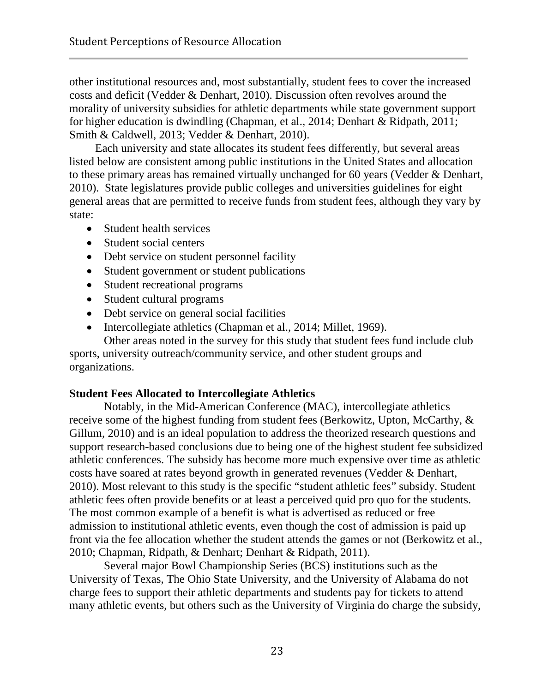other institutional resources and, most substantially, student fees to cover the increased costs and deficit (Vedder & Denhart, 2010). Discussion often revolves around the morality of university subsidies for athletic departments while state government support for higher education is dwindling (Chapman, et al., 2014; Denhart & Ridpath, 2011; Smith & Caldwell, 2013; Vedder & Denhart, 2010).

 Each university and state allocates its student fees differently, but several areas listed below are consistent among public institutions in the United States and allocation to these primary areas has remained virtually unchanged for 60 years (Vedder & Denhart, 2010). State legislatures provide public colleges and universities guidelines for eight general areas that are permitted to receive funds from student fees, although they vary by state:

- Student health services
- Student social centers
- Debt service on student personnel facility
- Student government or student publications
- Student recreational programs
- Student cultural programs
- Debt service on general social facilities
- Intercollegiate athletics (Chapman et al., 2014; Millet, 1969).

Other areas noted in the survey for this study that student fees fund include club sports, university outreach/community service, and other student groups and organizations.

#### **Student Fees Allocated to Intercollegiate Athletics**

Notably, in the Mid-American Conference (MAC), intercollegiate athletics receive some of the highest funding from student fees (Berkowitz, Upton, McCarthy, & Gillum, 2010) and is an ideal population to address the theorized research questions and support research-based conclusions due to being one of the highest student fee subsidized athletic conferences. The subsidy has become more much expensive over time as athletic costs have soared at rates beyond growth in generated revenues (Vedder & Denhart, 2010). Most relevant to this study is the specific "student athletic fees" subsidy. Student athletic fees often provide benefits or at least a perceived quid pro quo for the students. The most common example of a benefit is what is advertised as reduced or free admission to institutional athletic events, even though the cost of admission is paid up front via the fee allocation whether the student attends the games or not (Berkowitz et al., 2010; Chapman, Ridpath, & Denhart; Denhart & Ridpath, 2011).

Several major Bowl Championship Series (BCS) institutions such as the University of Texas, The Ohio State University, and the University of Alabama do not charge fees to support their athletic departments and students pay for tickets to attend many athletic events, but others such as the University of Virginia do charge the subsidy,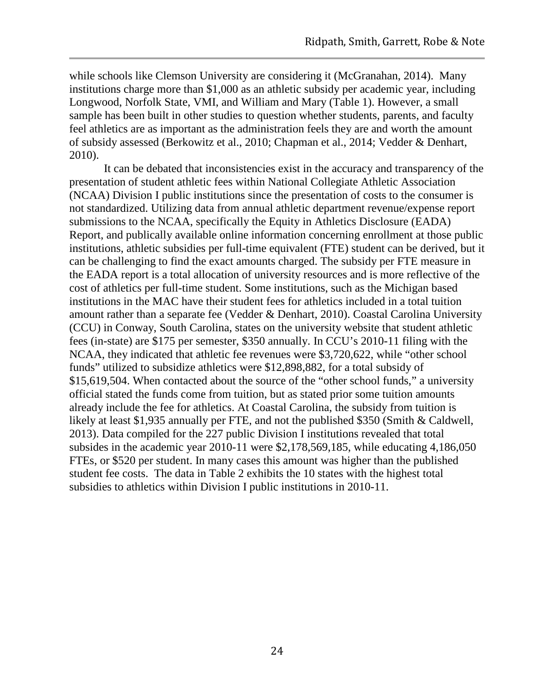while schools like Clemson University are considering it (McGranahan, 2014). Many institutions charge more than \$1,000 as an athletic subsidy per academic year, including Longwood, Norfolk State, VMI, and William and Mary (Table 1). However, a small sample has been built in other studies to question whether students, parents, and faculty feel athletics are as important as the administration feels they are and worth the amount of subsidy assessed (Berkowitz et al., 2010; Chapman et al., 2014; Vedder & Denhart, 2010).

It can be debated that inconsistencies exist in the accuracy and transparency of the presentation of student athletic fees within National Collegiate Athletic Association (NCAA) Division I public institutions since the presentation of costs to the consumer is not standardized. Utilizing data from annual athletic department revenue/expense report submissions to the NCAA, specifically the Equity in Athletics Disclosure (EADA) Report, and publically available online information concerning enrollment at those public institutions, athletic subsidies per full-time equivalent (FTE) student can be derived, but it can be challenging to find the exact amounts charged. The subsidy per FTE measure in the EADA report is a total allocation of university resources and is more reflective of the cost of athletics per full-time student. Some institutions, such as the Michigan based institutions in the MAC have their student fees for athletics included in a total tuition amount rather than a separate fee (Vedder & Denhart, 2010). Coastal Carolina University (CCU) in Conway, South Carolina, states on the university website that student athletic fees (in-state) are \$175 per semester, \$350 annually. In CCU's 2010-11 filing with the NCAA, they indicated that athletic fee revenues were \$3,720,622, while "other school funds" utilized to subsidize athletics were \$12,898,882, for a total subsidy of \$15,619,504. When contacted about the source of the "other school funds," a university official stated the funds come from tuition, but as stated prior some tuition amounts already include the fee for athletics. At Coastal Carolina, the subsidy from tuition is likely at least \$1,935 annually per FTE, and not the published \$350 (Smith & Caldwell, 2013). Data compiled for the 227 public Division I institutions revealed that total subsides in the academic year 2010-11 were \$2,178,569,185, while educating 4,186,050 FTEs, or \$520 per student. In many cases this amount was higher than the published student fee costs. The data in Table 2 exhibits the 10 states with the highest total subsidies to athletics within Division I public institutions in 2010-11.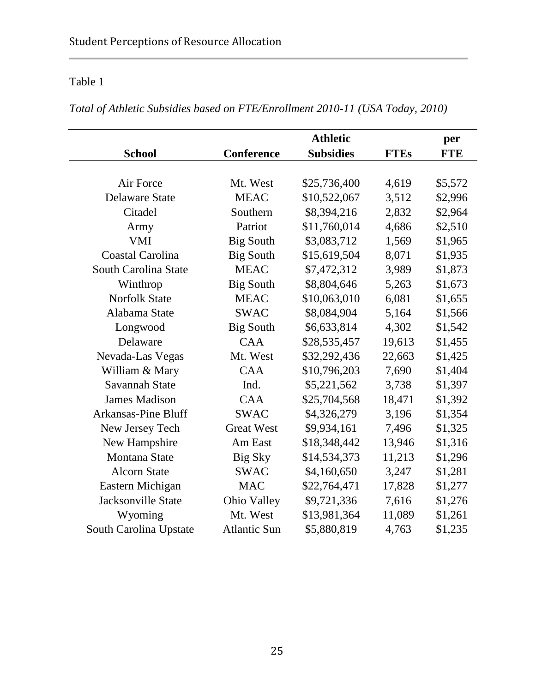|                           | <b>Athletic</b>     |                  |             | per        |
|---------------------------|---------------------|------------------|-------------|------------|
| <b>School</b>             | <b>Conference</b>   | <b>Subsidies</b> | <b>FTEs</b> | <b>FTE</b> |
|                           |                     |                  |             |            |
| Air Force                 | Mt. West            | \$25,736,400     | 4,619       | \$5,572    |
| <b>Delaware State</b>     | <b>MEAC</b>         | \$10,522,067     | 3,512       | \$2,996    |
| Citadel                   | Southern            | \$8,394,216      | 2,832       | \$2,964    |
| Army                      | Patriot             | \$11,760,014     | 4,686       | \$2,510    |
| <b>VMI</b>                | <b>Big South</b>    | \$3,083,712      | 1,569       | \$1,965    |
| Coastal Carolina          | <b>Big South</b>    | \$15,619,504     | 8,071       | \$1,935    |
| South Carolina State      | <b>MEAC</b>         | \$7,472,312      | 3,989       | \$1,873    |
| Winthrop                  | <b>Big South</b>    | \$8,804,646      | 5,263       | \$1,673    |
| <b>Norfolk State</b>      | <b>MEAC</b>         | \$10,063,010     | 6,081       | \$1,655    |
| Alabama State             | <b>SWAC</b>         | \$8,084,904      | 5,164       | \$1,566    |
| Longwood                  | <b>Big South</b>    | \$6,633,814      | 4,302       | \$1,542    |
| Delaware                  | <b>CAA</b>          | \$28,535,457     | 19,613      | \$1,455    |
| Nevada-Las Vegas          | Mt. West            | \$32,292,436     | 22,663      | \$1,425    |
| William & Mary            | <b>CAA</b>          | \$10,796,203     | 7,690       | \$1,404    |
| Savannah State            | Ind.                | \$5,221,562      | 3,738       | \$1,397    |
| <b>James Madison</b>      | <b>CAA</b>          | \$25,704,568     | 18,471      | \$1,392    |
| Arkansas-Pine Bluff       | <b>SWAC</b>         | \$4,326,279      | 3,196       | \$1,354    |
| New Jersey Tech           | <b>Great West</b>   | \$9,934,161      | 7,496       | \$1,325    |
| New Hampshire             | Am East             | \$18,348,442     | 13,946      | \$1,316    |
| <b>Montana State</b>      | Big Sky             | \$14,534,373     | 11,213      | \$1,296    |
| <b>Alcorn State</b>       | <b>SWAC</b>         | \$4,160,650      | 3,247       | \$1,281    |
| Eastern Michigan          | <b>MAC</b>          | \$22,764,471     | 17,828      | \$1,277    |
| <b>Jacksonville State</b> | Ohio Valley         | \$9,721,336      | 7,616       | \$1,276    |
| Wyoming                   | Mt. West            | \$13,981,364     | 11,089      | \$1,261    |
| South Carolina Upstate    | <b>Atlantic Sun</b> | \$5,880,819      | 4,763       | \$1,235    |

*Total of Athletic Subsidies based on FTE/Enrollment 2010-11 (USA Today, 2010)*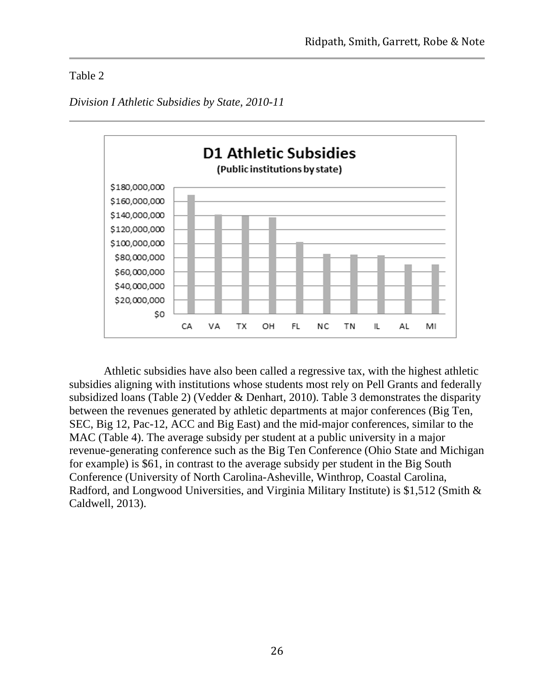

*Division I Athletic Subsidies by State, 2010-11*

Athletic subsidies have also been called a regressive tax, with the highest athletic subsidies aligning with institutions whose students most rely on Pell Grants and federally subsidized loans (Table 2) (Vedder & Denhart, 2010). Table 3 demonstrates the disparity between the revenues generated by athletic departments at major conferences (Big Ten, SEC, Big 12, Pac-12, ACC and Big East) and the mid-major conferences, similar to the MAC (Table 4). The average subsidy per student at a public university in a major revenue-generating conference such as the Big Ten Conference (Ohio State and Michigan for example) is \$61, in contrast to the average subsidy per student in the Big South Conference (University of North Carolina-Asheville, Winthrop, Coastal Carolina, Radford, and Longwood Universities, and Virginia Military Institute) is \$1,512 (Smith & Caldwell, 2013).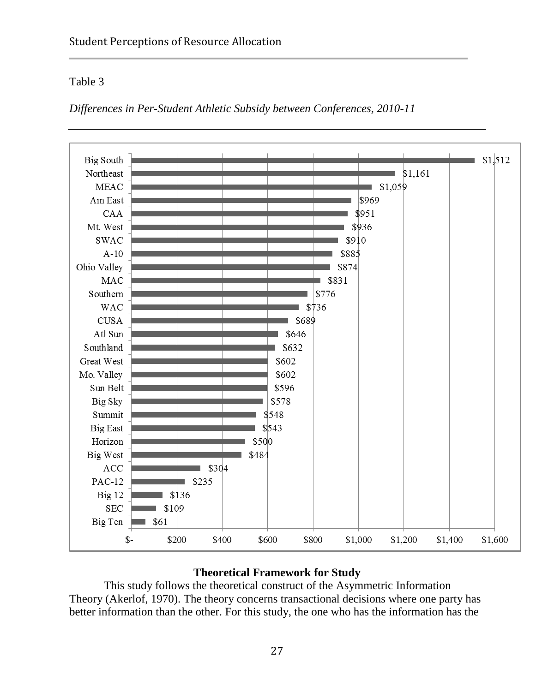



# **Theoretical Framework for Study**

This study follows the theoretical construct of the Asymmetric Information Theory (Akerlof, 1970). The theory concerns transactional decisions where one party has better information than the other. For this study, the one who has the information has the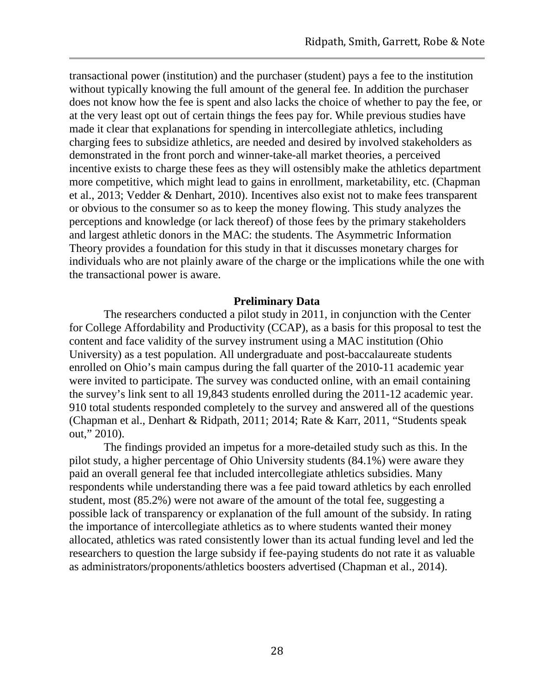transactional power (institution) and the purchaser (student) pays a fee to the institution without typically knowing the full amount of the general fee. In addition the purchaser does not know how the fee is spent and also lacks the choice of whether to pay the fee, or at the very least opt out of certain things the fees pay for. While previous studies have made it clear that explanations for spending in intercollegiate athletics, including charging fees to subsidize athletics, are needed and desired by involved stakeholders as demonstrated in the front porch and winner-take-all market theories, a perceived incentive exists to charge these fees as they will ostensibly make the athletics department more competitive, which might lead to gains in enrollment, marketability, etc. (Chapman et al., 2013; Vedder & Denhart, 2010). Incentives also exist not to make fees transparent or obvious to the consumer so as to keep the money flowing. This study analyzes the perceptions and knowledge (or lack thereof) of those fees by the primary stakeholders and largest athletic donors in the MAC: the students. The Asymmetric Information Theory provides a foundation for this study in that it discusses monetary charges for individuals who are not plainly aware of the charge or the implications while the one with the transactional power is aware.

#### **Preliminary Data**

The researchers conducted a pilot study in 2011, in conjunction with the Center for College Affordability and Productivity (CCAP), as a basis for this proposal to test the content and face validity of the survey instrument using a MAC institution (Ohio University) as a test population. All undergraduate and post-baccalaureate students enrolled on Ohio's main campus during the fall quarter of the 2010-11 academic year were invited to participate. The survey was conducted online, with an email containing the survey's link sent to all 19,843 students enrolled during the 2011-12 academic year. 910 total students responded completely to the survey and answered all of the questions (Chapman et al., Denhart & Ridpath, 2011; 2014; Rate & Karr, 2011, "Students speak out," 2010).

The findings provided an impetus for a more-detailed study such as this. In the pilot study, a higher percentage of Ohio University students (84.1%) were aware they paid an overall general fee that included intercollegiate athletics subsidies. Many respondents while understanding there was a fee paid toward athletics by each enrolled student, most (85.2%) were not aware of the amount of the total fee, suggesting a possible lack of transparency or explanation of the full amount of the subsidy. In rating the importance of intercollegiate athletics as to where students wanted their money allocated, athletics was rated consistently lower than its actual funding level and led the researchers to question the large subsidy if fee-paying students do not rate it as valuable as administrators/proponents/athletics boosters advertised (Chapman et al., 2014).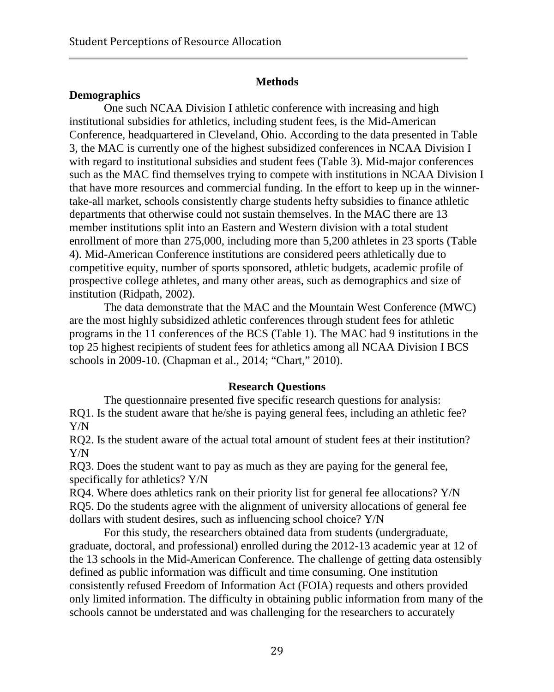## **Methods**

## **Demographics**

One such NCAA Division I athletic conference with increasing and high institutional subsidies for athletics, including student fees, is the Mid-American Conference, headquartered in Cleveland, Ohio. According to the data presented in Table 3, the MAC is currently one of the highest subsidized conferences in NCAA Division I with regard to institutional subsidies and student fees (Table 3). Mid-major conferences such as the MAC find themselves trying to compete with institutions in NCAA Division I that have more resources and commercial funding. In the effort to keep up in the winnertake-all market, schools consistently charge students hefty subsidies to finance athletic departments that otherwise could not sustain themselves. In the MAC there are 13 member institutions split into an Eastern and Western division with a total student enrollment of more than 275,000, including more than 5,200 athletes in 23 sports (Table 4). Mid-American Conference institutions are considered peers athletically due to competitive equity, number of sports sponsored, athletic budgets, academic profile of prospective college athletes, and many other areas, such as demographics and size of institution (Ridpath, 2002).

The data demonstrate that the MAC and the Mountain West Conference (MWC) are the most highly subsidized athletic conferences through student fees for athletic programs in the 11 conferences of the BCS (Table 1). The MAC had 9 institutions in the top 25 highest recipients of student fees for athletics among all NCAA Division I BCS schools in 2009-10. (Chapman et al., 2014; "Chart," 2010).

#### **Research Questions**

The questionnaire presented five specific research questions for analysis: RQ1. Is the student aware that he/she is paying general fees, including an athletic fee? Y/N

RQ2. Is the student aware of the actual total amount of student fees at their institution? Y/N

RQ3. Does the student want to pay as much as they are paying for the general fee, specifically for athletics? Y/N

RQ4. Where does athletics rank on their priority list for general fee allocations? Y/N RQ5. Do the students agree with the alignment of university allocations of general fee dollars with student desires, such as influencing school choice? Y/N

For this study, the researchers obtained data from students (undergraduate, graduate, doctoral, and professional) enrolled during the 2012-13 academic year at 12 of the 13 schools in the Mid-American Conference. The challenge of getting data ostensibly defined as public information was difficult and time consuming. One institution consistently refused Freedom of Information Act (FOIA) requests and others provided only limited information. The difficulty in obtaining public information from many of the schools cannot be understated and was challenging for the researchers to accurately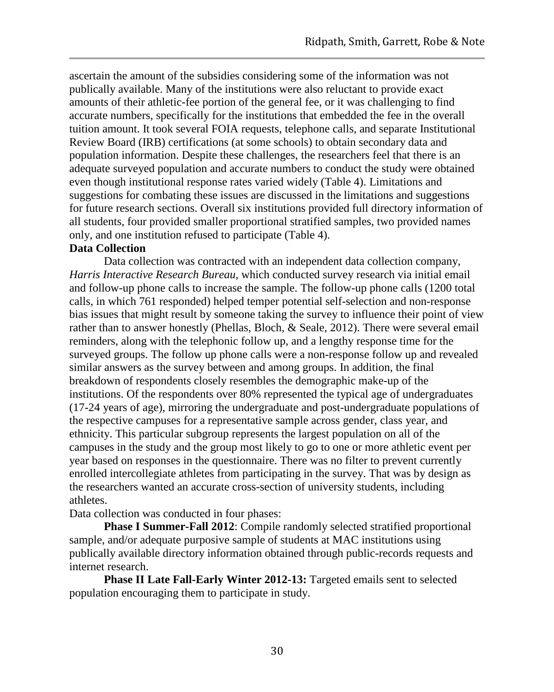ascertain the amount of the subsidies considering some of the information was not publically available. Many of the institutions were also reluctant to provide exact amounts of their athletic-fee portion of the general fee, or it was challenging to find accurate numbers, specifically for the institutions that embedded the fee in the overall tuition amount. It took several FOIA requests, telephone calls, and separate Institutional Review Board (IRB) certifications (at some schools) to obtain secondary data and population information. Despite these challenges, the researchers feel that there is an adequate surveyed population and accurate numbers to conduct the study were obtained even though institutional response rates varied widely (Table 4). Limitations and suggestions for combating these issues are discussed in the limitations and suggestions for future research sections. Overall six institutions provided full directory information of all students, four provided smaller proportional stratified samples, two provided names only, and one institution refused to participate (Table 4).

### **Data Collection**

Data collection was contracted with an independent data collection company, *Harris Interactive Research Bureau,* which conducted survey research via initial email and follow-up phone calls to increase the sample. The follow-up phone calls (1200 total calls, in which 761 responded) helped temper potential self-selection and non-response bias issues that might result by someone taking the survey to influence their point of view rather than to answer honestly (Phellas, Bloch, & Seale, 2012). There were several email reminders, along with the telephonic follow up, and a lengthy response time for the surveyed groups. The follow up phone calls were a non-response follow up and revealed similar answers as the survey between and among groups. In addition, the final breakdown of respondents closely resembles the demographic make-up of the institutions. Of the respondents over 80% represented the typical age of undergraduates (17-24 years of age), mirroring the undergraduate and post-undergraduate populations of the respective campuses for a representative sample across gender, class year, and ethnicity. This particular subgroup represents the largest population on all of the campuses in the study and the group most likely to go to one or more athletic event per year based on responses in the questionnaire. There was no filter to prevent currently enrolled intercollegiate athletes from participating in the survey. That was by design as the researchers wanted an accurate cross-section of university students, including athletes.

Data collection was conducted in four phases:

**Phase I Summer-Fall 2012:** Compile randomly selected stratified proportional sample, and/or adequate purposive sample of students at MAC institutions using publically available directory information obtained through public-records requests and internet research.

**Phase II Late Fall-Early Winter 2012-13:** Targeted emails sent to selected population encouraging them to participate in study.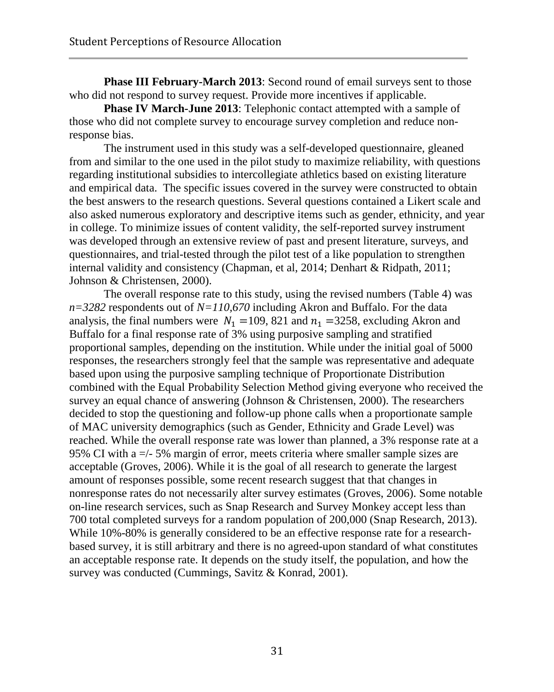**Phase III February-March 2013**: Second round of email surveys sent to those who did not respond to survey request. Provide more incentives if applicable.

**Phase IV March-June 2013:** Telephonic contact attempted with a sample of those who did not complete survey to encourage survey completion and reduce nonresponse bias.

The instrument used in this study was a self-developed questionnaire, gleaned from and similar to the one used in the pilot study to maximize reliability, with questions regarding institutional subsidies to intercollegiate athletics based on existing literature and empirical data. The specific issues covered in the survey were constructed to obtain the best answers to the research questions. Several questions contained a Likert scale and also asked numerous exploratory and descriptive items such as gender, ethnicity, and year in college. To minimize issues of content validity, the self-reported survey instrument was developed through an extensive review of past and present literature, surveys, and questionnaires, and trial-tested through the pilot test of a like population to strengthen internal validity and consistency (Chapman, et al, 2014; Denhart & Ridpath, 2011; Johnson & Christensen, 2000).

The overall response rate to this study, using the revised numbers (Table 4) was *n=3282* respondents out of *N=110,670* including Akron and Buffalo. For the data analysis, the final numbers were  $N_1 = 109$ , 821 and  $n_1 = 3258$ , excluding Akron and Buffalo for a final response rate of 3% using purposive sampling and stratified proportional samples, depending on the institution. While under the initial goal of 5000 responses, the researchers strongly feel that the sample was representative and adequate based upon using the purposive sampling technique of Proportionate Distribution combined with the Equal Probability Selection Method giving everyone who received the survey an equal chance of answering (Johnson & Christensen, 2000). The researchers decided to stop the questioning and follow-up phone calls when a proportionate sample of MAC university demographics (such as Gender, Ethnicity and Grade Level) was reached. While the overall response rate was lower than planned, a 3% response rate at a 95% CI with a =/- 5% margin of error, meets criteria where smaller sample sizes are acceptable (Groves, 2006). While it is the goal of all research to generate the largest amount of responses possible, some recent research suggest that that changes in nonresponse rates do not necessarily alter survey estimates (Groves, 2006). Some notable on-line research services, such as Snap Research and Survey Monkey accept less than 700 total completed surveys for a random population of 200,000 (Snap Research, 2013). While 10%-80% is generally considered to be an effective response rate for a researchbased survey, it is still arbitrary and there is no agreed-upon standard of what constitutes an acceptable response rate. It depends on the study itself, the population, and how the survey was conducted (Cummings, Savitz & Konrad, 2001).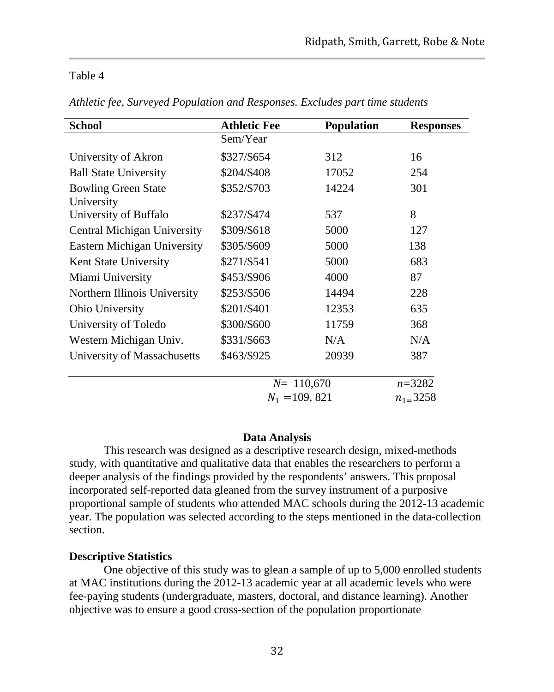| <b>School</b>                            | <b>Athletic Fee</b> | <b>Population</b> | <b>Responses</b> |  |
|------------------------------------------|---------------------|-------------------|------------------|--|
|                                          | Sem/Year            |                   |                  |  |
| University of Akron                      | \$327/\$654         | 312               | 16               |  |
| <b>Ball State University</b>             | \$204/\$408         | 17052             | 254              |  |
| <b>Bowling Green State</b><br>University | \$352/\$703         | 14224             | 301              |  |
| University of Buffalo                    | \$237/\$474         | 537               | 8                |  |
| Central Michigan University              | \$309/\$618         | 5000              | 127              |  |
| <b>Eastern Michigan University</b>       | \$305/\$609         | 5000              | 138              |  |
| Kent State University                    | \$271/\$541         | 5000              | 683              |  |
| Miami University                         | \$453/\$906         | 4000              | 87               |  |
| Northern Illinois University             | \$253/\$506         | 14494             | 228              |  |
| <b>Ohio University</b>                   | \$201/\$401         | 12353             | 635              |  |
| University of Toledo                     | \$300/\$600         | 11759             | 368              |  |
| Western Michigan Univ.                   | \$331/\$663         | N/A               | N/A              |  |
| University of Massachusetts              | \$463/\$925         | 20939             | 387              |  |
|                                          | $N = 110,670$       |                   | $n = 3282$       |  |
|                                          | $N_1 = 109, 821$    |                   | $n_{1} = 3258$   |  |

*Athletic fee, Surveyed Population and Responses. Excludes part time students*

#### **Data Analysis**

This research was designed as a descriptive research design, mixed-methods study, with quantitative and qualitative data that enables the researchers to perform a deeper analysis of the findings provided by the respondents' answers. This proposal incorporated self-reported data gleaned from the survey instrument of a purposive proportional sample of students who attended MAC schools during the 2012-13 academic year. The population was selected according to the steps mentioned in the data-collection section.

# **Descriptive Statistics**

One objective of this study was to glean a sample of up to 5,000 enrolled students at MAC institutions during the 2012-13 academic year at all academic levels who were fee-paying students (undergraduate, masters, doctoral, and distance learning). Another objective was to ensure a good cross-section of the population proportionate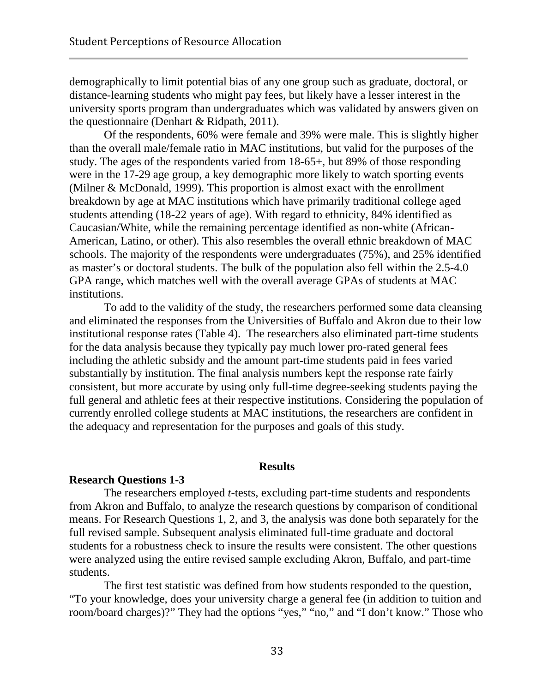demographically to limit potential bias of any one group such as graduate, doctoral, or distance-learning students who might pay fees, but likely have a lesser interest in the university sports program than undergraduates which was validated by answers given on the questionnaire (Denhart & Ridpath, 2011).

Of the respondents, 60% were female and 39% were male. This is slightly higher than the overall male/female ratio in MAC institutions, but valid for the purposes of the study. The ages of the respondents varied from 18-65+, but 89% of those responding were in the 17-29 age group, a key demographic more likely to watch sporting events (Milner & McDonald, 1999). This proportion is almost exact with the enrollment breakdown by age at MAC institutions which have primarily traditional college aged students attending (18-22 years of age). With regard to ethnicity, 84% identified as Caucasian/White, while the remaining percentage identified as non-white (African-American, Latino, or other). This also resembles the overall ethnic breakdown of MAC schools. The majority of the respondents were undergraduates (75%), and 25% identified as master's or doctoral students. The bulk of the population also fell within the 2.5-4.0 GPA range, which matches well with the overall average GPAs of students at MAC institutions.

To add to the validity of the study, the researchers performed some data cleansing and eliminated the responses from the Universities of Buffalo and Akron due to their low institutional response rates (Table 4). The researchers also eliminated part-time students for the data analysis because they typically pay much lower pro-rated general fees including the athletic subsidy and the amount part-time students paid in fees varied substantially by institution. The final analysis numbers kept the response rate fairly consistent, but more accurate by using only full-time degree-seeking students paying the full general and athletic fees at their respective institutions. Considering the population of currently enrolled college students at MAC institutions, the researchers are confident in the adequacy and representation for the purposes and goals of this study.

#### **Results**

#### **Research Questions 1-3**

The researchers employed *t*-tests, excluding part-time students and respondents from Akron and Buffalo, to analyze the research questions by comparison of conditional means. For Research Questions 1, 2, and 3, the analysis was done both separately for the full revised sample. Subsequent analysis eliminated full-time graduate and doctoral students for a robustness check to insure the results were consistent. The other questions were analyzed using the entire revised sample excluding Akron, Buffalo, and part-time students.

The first test statistic was defined from how students responded to the question, "To your knowledge, does your university charge a general fee (in addition to tuition and room/board charges)?" They had the options "yes," "no," and "I don't know." Those who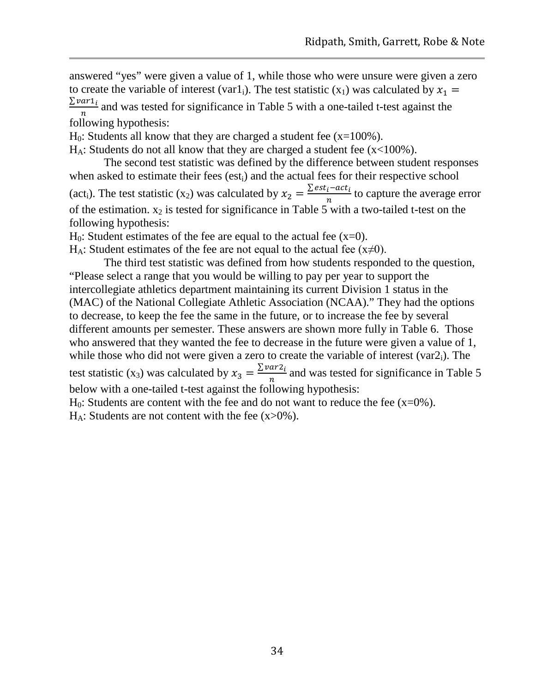answered "yes" were given a value of 1, while those who were unsure were given a zero to create the variable of interest (var1<sub>i</sub>). The test statistic (x<sub>1</sub>) was calculated by  $x_1 = \sum \varphi a r_1 i_1$  and was tested for significance in Table 5 with a one-tailed t-test against the

 $\frac{a_1 a_2}{n}$  and was tested for significance in Table 5 with a one-tailed t-test against the following hypothesis:

 $H_0$ : Students all know that they are charged a student fee (x=100%).

 $H_A$ : Students do not all know that they are charged a student fee (x<100%).

The second test statistic was defined by the difference between student responses when asked to estimate their fees (est<sub>i</sub>) and the actual fees for their respective school (act<sub>i</sub>). The test statistic (x<sub>2</sub>) was calculated by  $x_2 = \frac{\sum est_i - act_i}{n}$  to capture the average error of the estimation.  $x_2$  is tested for significance in Table 5 with a two-tailed t-test on the following hypothesis:

 $H_0$ : Student estimates of the fee are equal to the actual fee (x=0).

 $H_A$ : Student estimates of the fee are not equal to the actual fee (x $\neq$ 0).

The third test statistic was defined from how students responded to the question, "Please select a range that you would be willing to pay per year to support the intercollegiate athletics department maintaining its current Division 1 status in the (MAC) of the National Collegiate Athletic Association (NCAA)." They had the options to decrease, to keep the fee the same in the future, or to increase the fee by several different amounts per semester. These answers are shown more fully in Table 6. Those who answered that they wanted the fee to decrease in the future were given a value of 1, while those who did not were given a zero to create the variable of interest (var2<sub>i</sub>). The test statistic (x<sub>3</sub>) was calculated by  $x_3 = \frac{\sum \text{var} z_i}{n}$  and was tested for significance in Table 5 below with a one-tailed t-test against the following hypothesis:

 $H<sub>0</sub>$ : Students are content with the fee and do not want to reduce the fee (x=0%).

 $H_A$ : Students are not content with the fee (x>0%).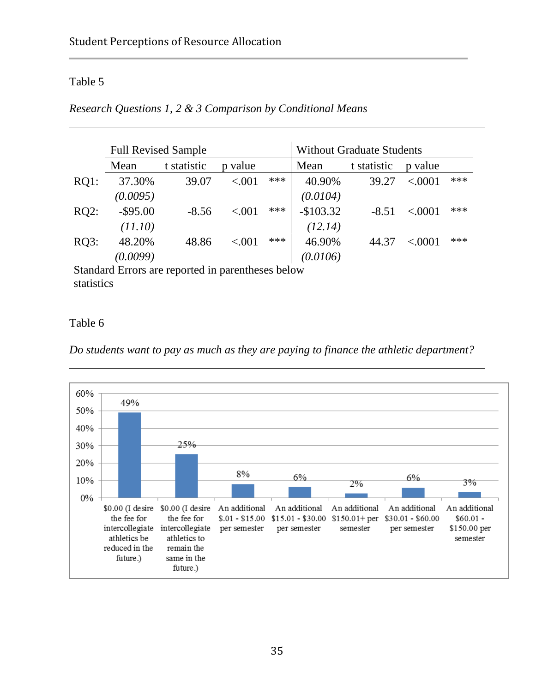## *Research Questions 1, 2 & 3 Comparison by Conditional Means*

|         | <b>Full Revised Sample</b> |             |             |     | <b>Without Graduate Students</b> |             |            |     |
|---------|----------------------------|-------------|-------------|-----|----------------------------------|-------------|------------|-----|
|         | Mean                       | t statistic | value<br>n. |     | Mean                             | t statistic | n value    |     |
| RO1:    | 37.30%                     | 39.07       | < .001      | *** | 40.90%                           | 39.27       | ${<}0001$  | *** |
|         | (0.0095)                   |             |             |     | (0.0104)                         |             |            |     |
| $RQ2$ : | $-$ \$95.00                | $-8.56$     | ${<}001$    | *** | $-$103.32$                       | $-8.51$     | ${<}0001$  | *** |
|         | (11.10)                    |             |             |     | (12.14)                          |             |            |     |
| $RQ3$ : | 48.20%                     | 48.86       | < 0.01      | *** | 46.90%                           | 44.37       | ${<}.0001$ | *** |
|         | (0.0099)                   |             |             |     | (0.0106)                         |             |            |     |

Standard Errors are reported in parentheses below statistics

# Table 6

*Do students want to pay as much as they are paying to finance the athletic department?*

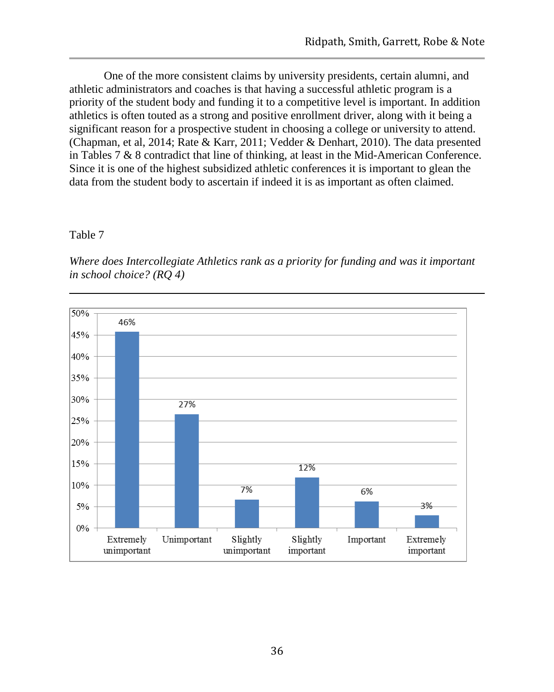One of the more consistent claims by university presidents, certain alumni, and athletic administrators and coaches is that having a successful athletic program is a priority of the student body and funding it to a competitive level is important. In addition athletics is often touted as a strong and positive enrollment driver, along with it being a significant reason for a prospective student in choosing a college or university to attend. (Chapman, et al, 2014; Rate & Karr, 2011; Vedder & Denhart, 2010). The data presented in Tables 7 & 8 contradict that line of thinking, at least in the Mid-American Conference. Since it is one of the highest subsidized athletic conferences it is important to glean the data from the student body to ascertain if indeed it is as important as often claimed.

# Table 7

*Where does Intercollegiate Athletics rank as a priority for funding and was it important in school choice? (RQ 4)*

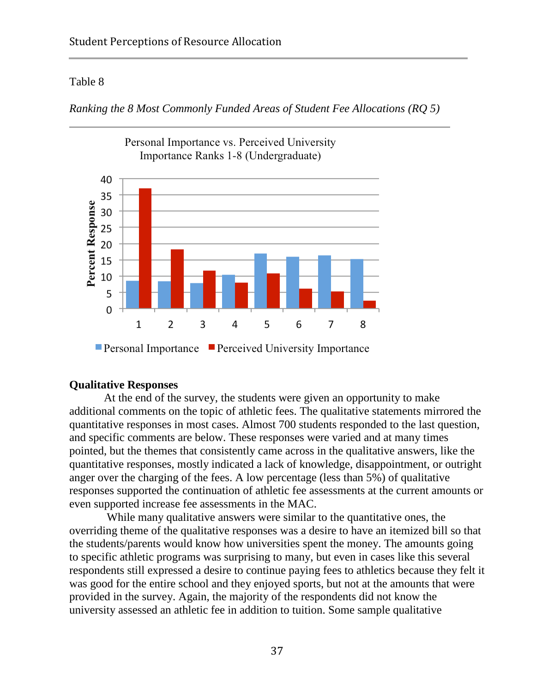*Ranking the 8 Most Commonly Funded Areas of Student Fee Allocations (RQ 5)*



# **Qualitative Responses**

At the end of the survey, the students were given an opportunity to make additional comments on the topic of athletic fees. The qualitative statements mirrored the quantitative responses in most cases. Almost 700 students responded to the last question, and specific comments are below. These responses were varied and at many times pointed, but the themes that consistently came across in the qualitative answers, like the quantitative responses, mostly indicated a lack of knowledge, disappointment, or outright anger over the charging of the fees. A low percentage (less than 5%) of qualitative responses supported the continuation of athletic fee assessments at the current amounts or even supported increase fee assessments in the MAC.

While many qualitative answers were similar to the quantitative ones, the overriding theme of the qualitative responses was a desire to have an itemized bill so that the students/parents would know how universities spent the money. The amounts going to specific athletic programs was surprising to many, but even in cases like this several respondents still expressed a desire to continue paying fees to athletics because they felt it was good for the entire school and they enjoyed sports, but not at the amounts that were provided in the survey. Again, the majority of the respondents did not know the university assessed an athletic fee in addition to tuition. Some sample qualitative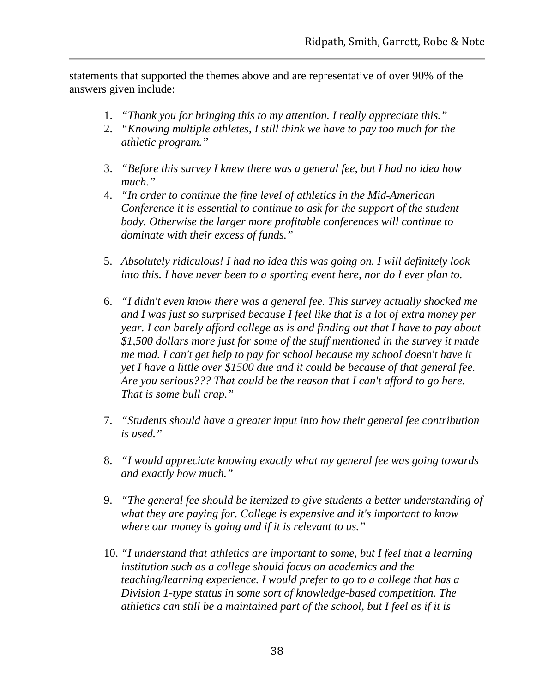statements that supported the themes above and are representative of over 90% of the answers given include:

- 1. *"Thank you for bringing this to my attention. I really appreciate this."*
- 2. *"Knowing multiple athletes, I still think we have to pay too much for the athletic program."*
- 3. *"Before this survey I knew there was a general fee, but I had no idea how much."*
- 4. *"In order to continue the fine level of athletics in the Mid-American Conference it is essential to continue to ask for the support of the student body. Otherwise the larger more profitable conferences will continue to dominate with their excess of funds."*
- 5. *Absolutely ridiculous! I had no idea this was going on. I will definitely look into this. I have never been to a sporting event here, nor do I ever plan to.*
- 6. *"I didn't even know there was a general fee. This survey actually shocked me and I was just so surprised because I feel like that is a lot of extra money per year. I can barely afford college as is and finding out that I have to pay about \$1,500 dollars more just for some of the stuff mentioned in the survey it made me mad. I can't get help to pay for school because my school doesn't have it yet I have a little over \$1500 due and it could be because of that general fee. Are you serious??? That could be the reason that I can't afford to go here. That is some bull crap."*
- 7. *"Students should have a greater input into how their general fee contribution is used."*
- 8. *"I would appreciate knowing exactly what my general fee was going towards and exactly how much."*
- 9. *"The general fee should be itemized to give students a better understanding of what they are paying for. College is expensive and it's important to know where our money is going and if it is relevant to us."*
- 10. *"I understand that athletics are important to some, but I feel that a learning institution such as a college should focus on academics and the teaching/learning experience. I would prefer to go to a college that has a Division 1-type status in some sort of knowledge-based competition. The athletics can still be a maintained part of the school, but I feel as if it is*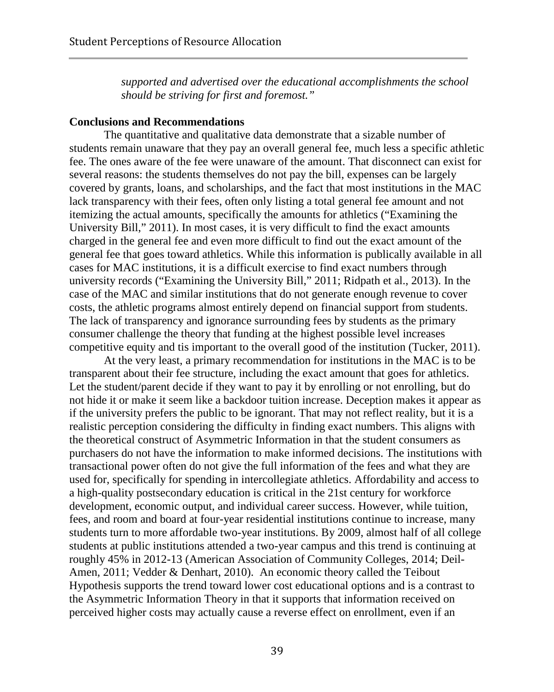*supported and advertised over the educational accomplishments the school should be striving for first and foremost."*

#### **Conclusions and Recommendations**

The quantitative and qualitative data demonstrate that a sizable number of students remain unaware that they pay an overall general fee, much less a specific athletic fee. The ones aware of the fee were unaware of the amount. That disconnect can exist for several reasons: the students themselves do not pay the bill, expenses can be largely covered by grants, loans, and scholarships, and the fact that most institutions in the MAC lack transparency with their fees, often only listing a total general fee amount and not itemizing the actual amounts, specifically the amounts for athletics ("Examining the University Bill," 2011). In most cases, it is very difficult to find the exact amounts charged in the general fee and even more difficult to find out the exact amount of the general fee that goes toward athletics. While this information is publically available in all cases for MAC institutions, it is a difficult exercise to find exact numbers through university records ("Examining the University Bill," 2011; Ridpath et al., 2013). In the case of the MAC and similar institutions that do not generate enough revenue to cover costs, the athletic programs almost entirely depend on financial support from students. The lack of transparency and ignorance surrounding fees by students as the primary consumer challenge the theory that funding at the highest possible level increases competitive equity and tis important to the overall good of the institution (Tucker, 2011).

At the very least, a primary recommendation for institutions in the MAC is to be transparent about their fee structure, including the exact amount that goes for athletics. Let the student/parent decide if they want to pay it by enrolling or not enrolling, but do not hide it or make it seem like a backdoor tuition increase. Deception makes it appear as if the university prefers the public to be ignorant. That may not reflect reality, but it is a realistic perception considering the difficulty in finding exact numbers. This aligns with the theoretical construct of Asymmetric Information in that the student consumers as purchasers do not have the information to make informed decisions. The institutions with transactional power often do not give the full information of the fees and what they are used for, specifically for spending in intercollegiate athletics. Affordability and access to a high-quality postsecondary education is critical in the 21st century for workforce development, economic output, and individual career success. However, while tuition, fees, and room and board at four-year residential institutions continue to increase, many students turn to more affordable two-year institutions. By 2009, almost half of all college students at public institutions attended a two-year campus and this trend is continuing at roughly 45% in 2012-13 (American Association of Community Colleges, 2014; Deil-Amen, 2011; Vedder & Denhart, 2010). An economic theory called the Teibout Hypothesis supports the trend toward lower cost educational options and is a contrast to the Asymmetric Information Theory in that it supports that information received on perceived higher costs may actually cause a reverse effect on enrollment, even if an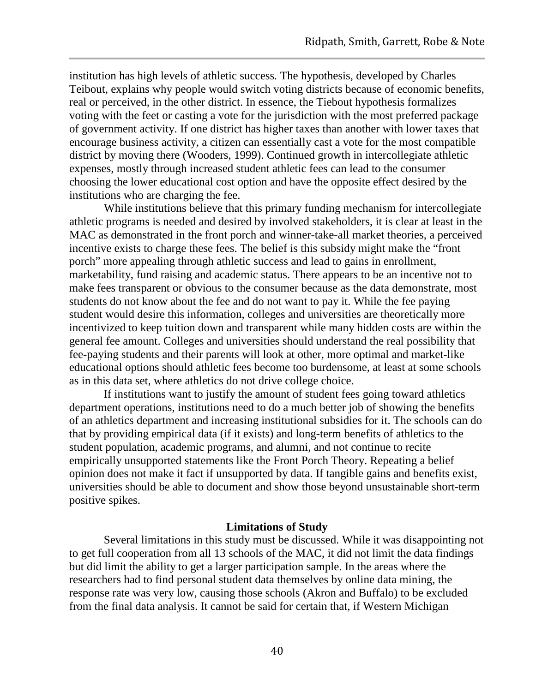institution has high levels of athletic success*.* The hypothesis, developed by Charles Teibout, explains why people would switch voting districts because of economic benefits, real or perceived, in the other district. In essence, the Tiebout hypothesis formalizes voting with the feet or casting a vote for the jurisdiction with the most preferred package of government activity. If one district has higher taxes than another with lower taxes that encourage business activity, a citizen can essentially cast a vote for the most compatible district by moving there (Wooders, 1999). Continued growth in intercollegiate athletic expenses, mostly through increased student athletic fees can lead to the consumer choosing the lower educational cost option and have the opposite effect desired by the institutions who are charging the fee.

While institutions believe that this primary funding mechanism for intercollegiate athletic programs is needed and desired by involved stakeholders, it is clear at least in the MAC as demonstrated in the front porch and winner-take-all market theories, a perceived incentive exists to charge these fees. The belief is this subsidy might make the "front porch" more appealing through athletic success and lead to gains in enrollment, marketability, fund raising and academic status. There appears to be an incentive not to make fees transparent or obvious to the consumer because as the data demonstrate, most students do not know about the fee and do not want to pay it. While the fee paying student would desire this information, colleges and universities are theoretically more incentivized to keep tuition down and transparent while many hidden costs are within the general fee amount. Colleges and universities should understand the real possibility that fee-paying students and their parents will look at other, more optimal and market-like educational options should athletic fees become too burdensome, at least at some schools as in this data set, where athletics do not drive college choice.

If institutions want to justify the amount of student fees going toward athletics department operations, institutions need to do a much better job of showing the benefits of an athletics department and increasing institutional subsidies for it. The schools can do that by providing empirical data (if it exists) and long-term benefits of athletics to the student population, academic programs, and alumni, and not continue to recite empirically unsupported statements like the Front Porch Theory. Repeating a belief opinion does not make it fact if unsupported by data. If tangible gains and benefits exist, universities should be able to document and show those beyond unsustainable short-term positive spikes.

#### **Limitations of Study**

Several limitations in this study must be discussed. While it was disappointing not to get full cooperation from all 13 schools of the MAC, it did not limit the data findings but did limit the ability to get a larger participation sample. In the areas where the researchers had to find personal student data themselves by online data mining, the response rate was very low, causing those schools (Akron and Buffalo) to be excluded from the final data analysis. It cannot be said for certain that, if Western Michigan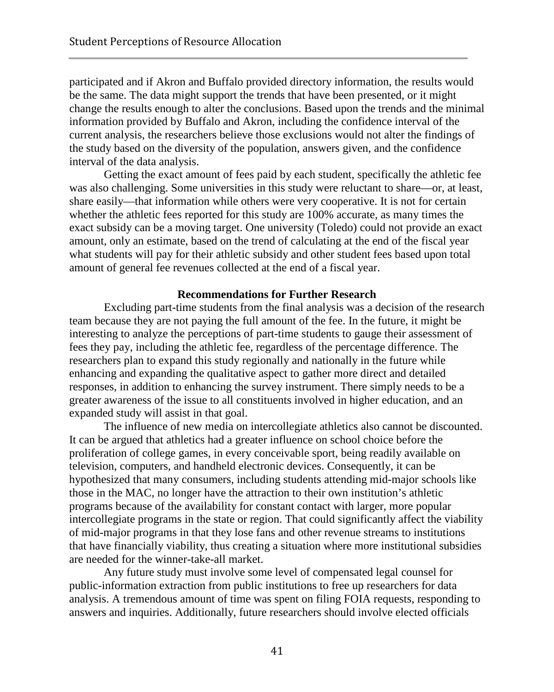participated and if Akron and Buffalo provided directory information, the results would be the same. The data might support the trends that have been presented, or it might change the results enough to alter the conclusions. Based upon the trends and the minimal information provided by Buffalo and Akron, including the confidence interval of the current analysis, the researchers believe those exclusions would not alter the findings of the study based on the diversity of the population, answers given, and the confidence interval of the data analysis.

Getting the exact amount of fees paid by each student, specifically the athletic fee was also challenging. Some universities in this study were reluctant to share—or, at least, share easily—that information while others were very cooperative. It is not for certain whether the athletic fees reported for this study are 100% accurate, as many times the exact subsidy can be a moving target. One university (Toledo) could not provide an exact amount, only an estimate, based on the trend of calculating at the end of the fiscal year what students will pay for their athletic subsidy and other student fees based upon total amount of general fee revenues collected at the end of a fiscal year.

## **Recommendations for Further Research**

Excluding part-time students from the final analysis was a decision of the research team because they are not paying the full amount of the fee. In the future, it might be interesting to analyze the perceptions of part-time students to gauge their assessment of fees they pay, including the athletic fee, regardless of the percentage difference. The researchers plan to expand this study regionally and nationally in the future while enhancing and expanding the qualitative aspect to gather more direct and detailed responses, in addition to enhancing the survey instrument. There simply needs to be a greater awareness of the issue to all constituents involved in higher education, and an expanded study will assist in that goal.

The influence of new media on intercollegiate athletics also cannot be discounted. It can be argued that athletics had a greater influence on school choice before the proliferation of college games, in every conceivable sport, being readily available on television, computers, and handheld electronic devices. Consequently, it can be hypothesized that many consumers, including students attending mid-major schools like those in the MAC, no longer have the attraction to their own institution's athletic programs because of the availability for constant contact with larger, more popular intercollegiate programs in the state or region. That could significantly affect the viability of mid-major programs in that they lose fans and other revenue streams to institutions that have financially viability, thus creating a situation where more institutional subsidies are needed for the winner-take-all market.

Any future study must involve some level of compensated legal counsel for public-information extraction from public institutions to free up researchers for data analysis. A tremendous amount of time was spent on filing FOIA requests, responding to answers and inquiries. Additionally, future researchers should involve elected officials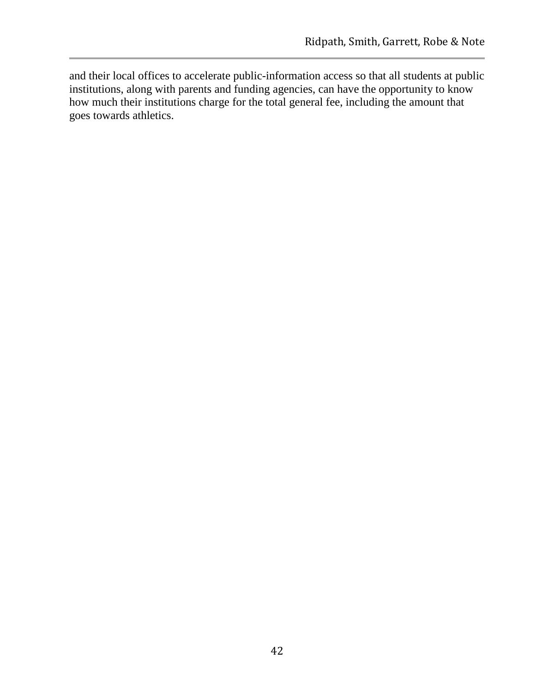and their local offices to accelerate public-information access so that all students at public institutions, along with parents and funding agencies, can have the opportunity to know how much their institutions charge for the total general fee, including the amount that goes towards athletics.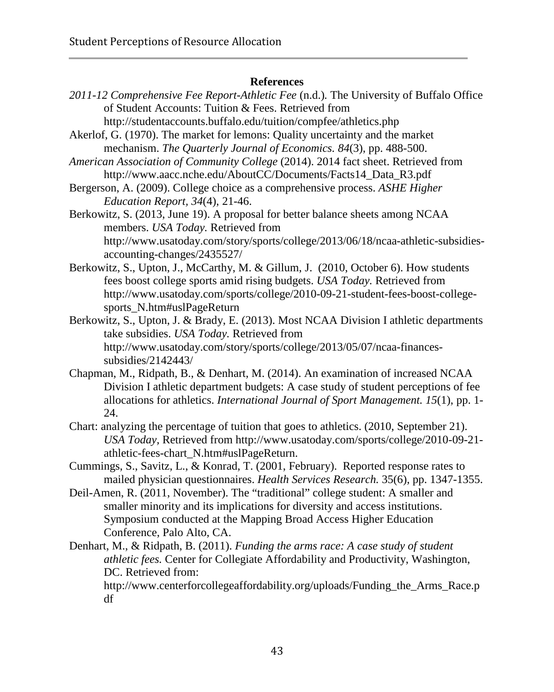# **References**

- *2011-12 Comprehensive Fee Report-Athletic Fee* (n.d.)*.* The University of Buffalo Office of Student Accounts: Tuition & Fees. Retrieved from
	- http://studentaccounts.buffalo.edu/tuition/compfee/athletics.php
- Akerlof, G. (1970). The market for lemons: Quality uncertainty and the market mechanism. *The Quarterly Journal of Economics. 84*(3), pp. 488-500.
- *American Association of Community College* (2014). 2014 fact sheet. Retrieved from http://www.aacc.nche.edu/AboutCC/Documents/Facts14\_Data\_R3.pdf
- Bergerson, A. (2009). College choice as a comprehensive process. *ASHE Higher Education Report, 34*(4), 21-46.

Berkowitz, S. (2013, June 19). A proposal for better balance sheets among NCAA members. *USA Today.* Retrieved from http://www.usatoday.com/story/sports/college/2013/06/18/ncaa-athletic-subsidiesaccounting-changes/2435527/

- Berkowitz, S., Upton, J., McCarthy, M. & Gillum, J. (2010, October 6). How students fees boost college sports amid rising budgets. *USA Today.* Retrieved from http://www.usatoday.com/sports/college/2010-09-21-student-fees-boost-collegesports\_N.htm#uslPageReturn
- Berkowitz, S., Upton, J. & Brady, E. (2013). Most NCAA Division I athletic departments take subsidies. *USA Today.* Retrieved from http://www.usatoday.com/story/sports/college/2013/05/07/ncaa-financessubsidies/2142443/
- Chapman, M., Ridpath, B., & Denhart, M. (2014). An examination of increased NCAA Division I athletic department budgets: A case study of student perceptions of fee allocations for athletics. *International Journal of Sport Management. 15*(1), pp. 1- 24.
- Chart: analyzing the percentage of tuition that goes to athletics. (2010, September 21). *USA Today,* Retrieved from http://www.usatoday.com/sports/college/2010-09-21 athletic-fees-chart\_N.htm#uslPageReturn.
- Cummings, S., Savitz, L., & Konrad, T. (2001, February). Reported response rates to mailed physician questionnaires. *Health Services Research.* 35(6), pp. 1347-1355.
- Deil-Amen, R. (2011, November). The "traditional" college student: A smaller and smaller minority and its implications for diversity and access institutions. Symposium conducted at the Mapping Broad Access Higher Education Conference, Palo Alto, CA.
- Denhart, M., & Ridpath, B. (2011). *Funding the arms race: A case study of student athletic fees.* Center for Collegiate Affordability and Productivity, Washington, DC. Retrieved from:

http://www.centerforcollegeaffordability.org/uploads/Funding\_the\_Arms\_Race.p df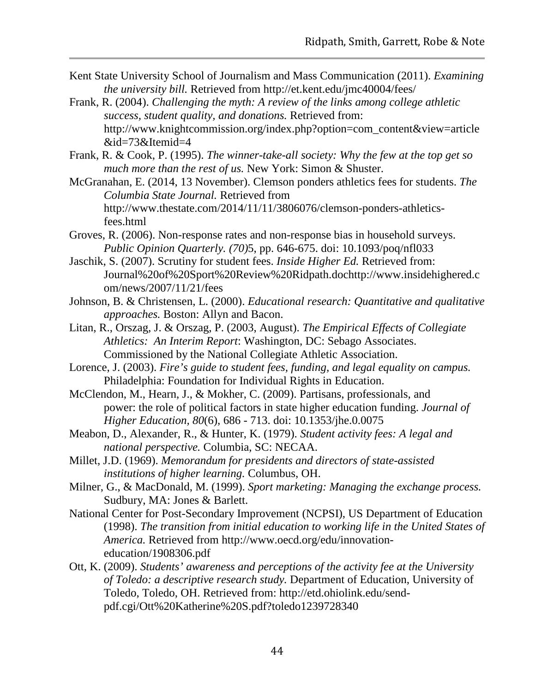- Kent State University School of Journalism and Mass Communication (2011). *Examining the university bill.* Retrieved from http://et.kent.edu/jmc40004/fees/
- Frank, R. (2004). *Challenging the myth: A review of the links among college athletic success, student quality, and donations.* Retrieved from: http://www.knightcommission.org/index.php?option=com\_content&view=article &id=73&Itemid=4
- Frank, R. & Cook, P. (1995). *The winner-take-all society: Why the few at the top get so much more than the rest of us.* New York: Simon & Shuster.
- McGranahan, E. (2014, 13 November). Clemson ponders athletics fees for students. *The Columbia State Journal.* Retrieved from http://www.thestate.com/2014/11/11/3806076/clemson-ponders-athleticsfees.html
- Groves, R. (2006). Non-response rates and non-response bias in household surveys. *Public Opinion Quarterly. (70)*5, pp. 646-675. doi: 10.1093/poq/nfl033
- Jaschik, S. (2007). Scrutiny for student fees. *Inside Higher Ed.* Retrieved from: Journal%20of%20Sport%20Review%20Ridpath.dochttp://www.insidehighered.c om/news/2007/11/21/fees
- Johnson, B. & Christensen, L. (2000). *Educational research: Quantitative and qualitative approaches.* Boston: Allyn and Bacon.
- Litan, R., Orszag, J. & Orszag, P. (2003, August). *The Empirical Effects of Collegiate Athletics: An Interim Report*: Washington, DC: Sebago Associates. Commissioned by the National Collegiate Athletic Association.
- Lorence, J. (2003). *Fire's guide to student fees, funding, and legal equality on campus.*  Philadelphia: Foundation for Individual Rights in Education.
- McClendon, M., Hearn, J., & Mokher, C. (2009). Partisans, professionals, and power: the role of political factors in state higher education funding. *Journal of Higher Education, 80*(6), 686 - 713. doi: 10.1353/jhe.0.0075
- Meabon, D., Alexander, R., & Hunter, K. (1979). *Student activity fees: A legal and national perspective.* Columbia, SC: NECAA.
- Millet, J.D. (1969). *Memorandum for presidents and directors of state-assisted institutions of higher learning.* Columbus, OH.
- Milner, G., & MacDonald, M. (1999). *Sport marketing: Managing the exchange process.*  Sudbury, MA: Jones & Barlett.
- National Center for Post-Secondary Improvement (NCPSI), US Department of Education (1998). *The transition from initial education to working life in the United States of America.* Retrieved from http://www.oecd.org/edu/innovationeducation/1908306.pdf
- Ott, K. (2009). *Students' awareness and perceptions of the activity fee at the University of Toledo: a descriptive research study.* Department of Education, University of Toledo, Toledo, OH. Retrieved from: http://etd.ohiolink.edu/sendpdf.cgi/Ott%20Katherine%20S.pdf?toledo1239728340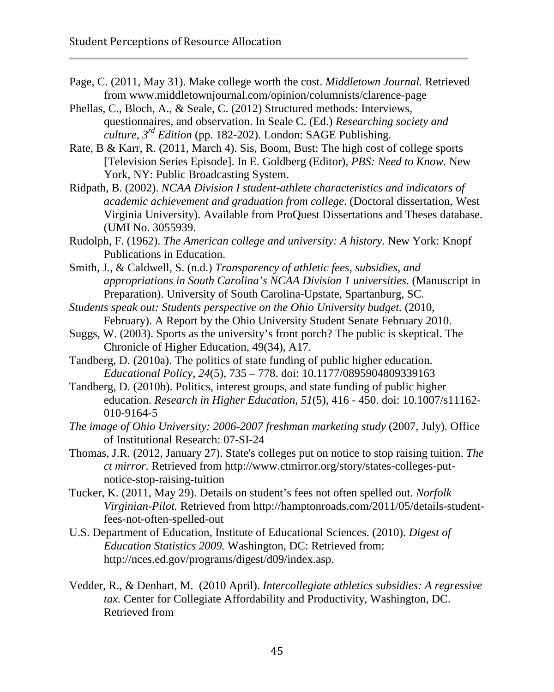- Page, C. (2011, May 31). Make college worth the cost. *Middletown Journal.* Retrieved from www.middletownjournal.com/opinion/columnists/clarence-page
- Phellas, C., Bloch, A., & Seale, C. (2012) Structured methods: Interviews, questionnaires, and observation. In Seale C. (Ed.) *Researching society and culture*, *3rd Edition* (pp. 182-202). London: SAGE Publishing.
- Rate, B & Karr, R. (2011, March 4). Sis, Boom, Bust: The high cost of college sports [Television Series Episode]. In E. Goldberg (Editor), *PBS: Need to Know.* New York, NY: Public Broadcasting System.
- Ridpath, B. (2002). *NCAA Division I student-athlete characteristics and indicators of academic achievement and graduation from college*. (Doctoral dissertation, West Virginia University). Available from ProQuest Dissertations and Theses database. (UMI No. 3055939.
- Rudolph, F. (1962). *The American college and university: A history.* New York: Knopf Publications in Education.
- Smith, J., & Caldwell, S. (n.d.) *Transparency of athletic fees, subsidies, and appropriations in South Carolina's NCAA Division 1 universities.* (Manuscript in Preparation). University of South Carolina-Upstate, Spartanburg, SC.
- *Students speak out: Students perspective on the Ohio University budget.* (2010, February). A Report by the Ohio University Student Senate February 2010.
- Suggs, W. (2003). Sports as the university's front porch? The public is skeptical. The Chronicle of Higher Education, 49(34), A17.
- Tandberg, D. (2010a). The politics of state funding of public higher education. *Educational Policy, 24*(5), 735 – 778. doi: 10.1177/0895904809339163
- Tandberg, D. (2010b). Politics, interest groups, and state funding of public higher education. *Research in Higher Education, 51*(5), 416 - 450. doi: 10.1007/s11162- 010-9164-5
- *The image of Ohio University: 2006-2007 freshman marketing study* (2007, July). Office of Institutional Research: 07-SI-24
- Thomas, J.R. (2012, January 27). State's colleges put on notice to stop raising tuition. *The ct mirror.* Retrieved from http://www.ctmirror.org/story/states-colleges-putnotice-stop-raising-tuition
- Tucker, K. (2011, May 29). Details on student's fees not often spelled out. *Norfolk Virginian-Pilot.* Retrieved from http://hamptonroads.com/2011/05/details-studentfees-not-often-spelled-out
- U.S. Department of Education, Institute of Educational Sciences. (2010). *Digest of Education Statistics 2009.* Washington, DC: Retrieved from: http://nces.ed.gov/programs/digest/d09/index.asp.
- Vedder, R., & Denhart, M. (2010 April). *Intercollegiate athletics subsidies: A regressive tax.* Center for Collegiate Affordability and Productivity, Washington, DC. Retrieved from